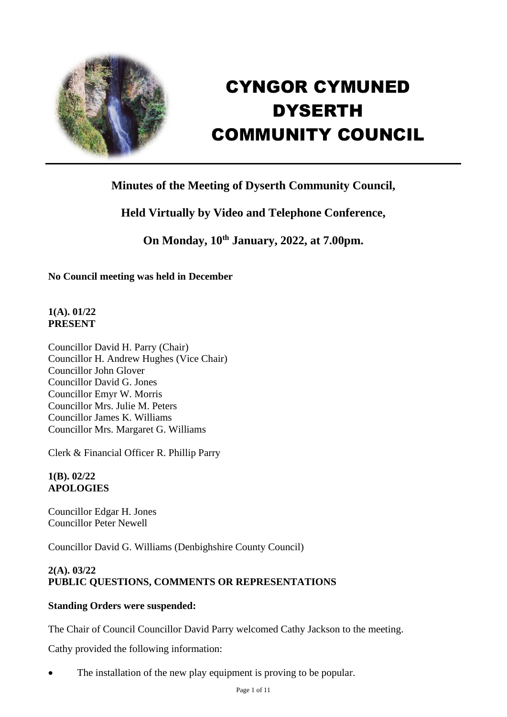

# CYNGOR CYMUNED DYSERTH COMMUNITY COUNCIL

# **Minutes of the Meeting of Dyserth Community Council,**

# **Held Virtually by Video and Telephone Conference,**

**On Monday, 10th January, 2022, at 7.00pm.**

**No Council meeting was held in December**

## **1(A). 01/22 PRESENT**

Councillor David H. Parry (Chair) Councillor H. Andrew Hughes (Vice Chair) Councillor John Glover Councillor David G. Jones Councillor Emyr W. Morris Councillor Mrs. Julie M. Peters Councillor James K. Williams Councillor Mrs. Margaret G. Williams

Clerk & Financial Officer R. Phillip Parry

## **1(B). 02/22 APOLOGIES**

Councillor Edgar H. Jones Councillor Peter Newell

Councillor David G. Williams (Denbighshire County Council)

## **2(A). 03/22 PUBLIC QUESTIONS, COMMENTS OR REPRESENTATIONS**

## **Standing Orders were suspended:**

The Chair of Council Councillor David Parry welcomed Cathy Jackson to the meeting.

Cathy provided the following information:

The installation of the new play equipment is proving to be popular.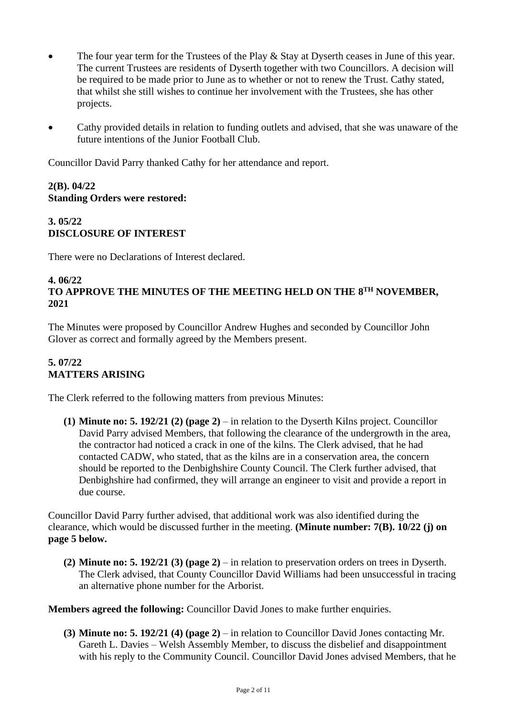- The four year term for the Trustees of the Play & Stay at Dyserth ceases in June of this year. The current Trustees are residents of Dyserth together with two Councillors. A decision will be required to be made prior to June as to whether or not to renew the Trust. Cathy stated, that whilst she still wishes to continue her involvement with the Trustees, she has other projects.
- Cathy provided details in relation to funding outlets and advised, that she was unaware of the future intentions of the Junior Football Club.

Councillor David Parry thanked Cathy for her attendance and report.

## **2(B). 04/22 Standing Orders were restored:**

## **3. 05/22 DISCLOSURE OF INTEREST**

There were no Declarations of Interest declared.

#### **4. 06/22 TO APPROVE THE MINUTES OF THE MEETING HELD ON THE 8 TH NOVEMBER, 2021**

The Minutes were proposed by Councillor Andrew Hughes and seconded by Councillor John Glover as correct and formally agreed by the Members present.

#### **5. 07/22 MATTERS ARISING**

The Clerk referred to the following matters from previous Minutes:

**(1) Minute no: 5. 192/21 (2) (page 2)** – in relation to the Dyserth Kilns project. Councillor David Parry advised Members, that following the clearance of the undergrowth in the area, the contractor had noticed a crack in one of the kilns. The Clerk advised, that he had contacted CADW, who stated, that as the kilns are in a conservation area, the concern should be reported to the Denbighshire County Council. The Clerk further advised, that Denbighshire had confirmed, they will arrange an engineer to visit and provide a report in due course.

Councillor David Parry further advised, that additional work was also identified during the clearance, which would be discussed further in the meeting. **(Minute number: 7(B). 10/22 (j) on page 5 below.**

**(2) Minute no: 5. 192/21 (3) (page 2)** – in relation to preservation orders on trees in Dyserth. The Clerk advised, that County Councillor David Williams had been unsuccessful in tracing an alternative phone number for the Arborist.

**Members agreed the following:** Councillor David Jones to make further enquiries.

**(3) Minute no: 5. 192/21 (4) (page 2)** – in relation to Councillor David Jones contacting Mr. Gareth L. Davies – Welsh Assembly Member, to discuss the disbelief and disappointment with his reply to the Community Council. Councillor David Jones advised Members, that he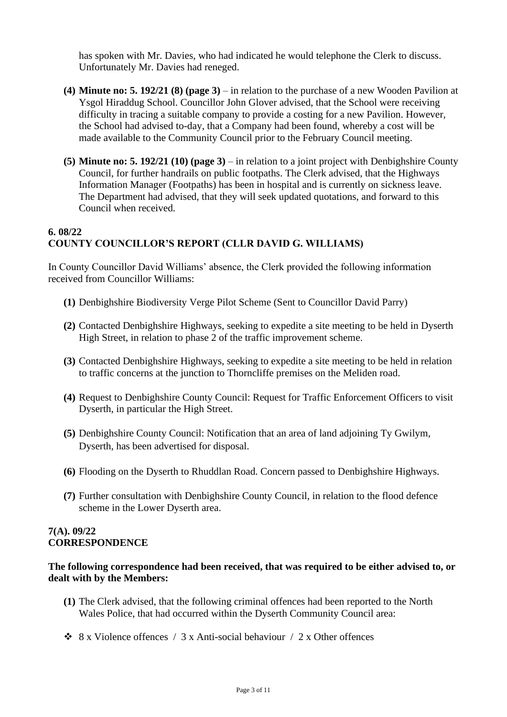has spoken with Mr. Davies, who had indicated he would telephone the Clerk to discuss. Unfortunately Mr. Davies had reneged.

- **(4) Minute no: 5. 192/21 (8) (page 3)** in relation to the purchase of a new Wooden Pavilion at Ysgol Hiraddug School. Councillor John Glover advised, that the School were receiving difficulty in tracing a suitable company to provide a costing for a new Pavilion. However, the School had advised to-day, that a Company had been found, whereby a cost will be made available to the Community Council prior to the February Council meeting.
- **(5) Minute no: 5. 192/21 (10) (page 3)** in relation to a joint project with Denbighshire County Council, for further handrails on public footpaths. The Clerk advised, that the Highways Information Manager (Footpaths) has been in hospital and is currently on sickness leave. The Department had advised, that they will seek updated quotations, and forward to this Council when received.

## **6. 08/22 COUNTY COUNCILLOR'S REPORT (CLLR DAVID G. WILLIAMS)**

In County Councillor David Williams' absence, the Clerk provided the following information received from Councillor Williams:

- **(1)** Denbighshire Biodiversity Verge Pilot Scheme (Sent to Councillor David Parry)
- **(2)** Contacted Denbighshire Highways, seeking to expedite a site meeting to be held in Dyserth High Street, in relation to phase 2 of the traffic improvement scheme.
- **(3)** Contacted Denbighshire Highways, seeking to expedite a site meeting to be held in relation to traffic concerns at the junction to Thorncliffe premises on the Meliden road.
- **(4)** Request to Denbighshire County Council: Request for Traffic Enforcement Officers to visit Dyserth, in particular the High Street.
- **(5)** Denbighshire County Council: Notification that an area of land adjoining Ty Gwilym, Dyserth, has been advertised for disposal.
- **(6)** Flooding on the Dyserth to Rhuddlan Road. Concern passed to Denbighshire Highways.
- **(7)** Further consultation with Denbighshire County Council, in relation to the flood defence scheme in the Lower Dyserth area.

#### **7(A). 09/22 CORRESPONDENCE**

#### **The following correspondence had been received, that was required to be either advised to, or dealt with by the Members:**

- **(1)** The Clerk advised, that the following criminal offences had been reported to the North Wales Police, that had occurred within the Dyserth Community Council area:
- $\div$  8 x Violence offences / 3 x Anti-social behaviour / 2 x Other offences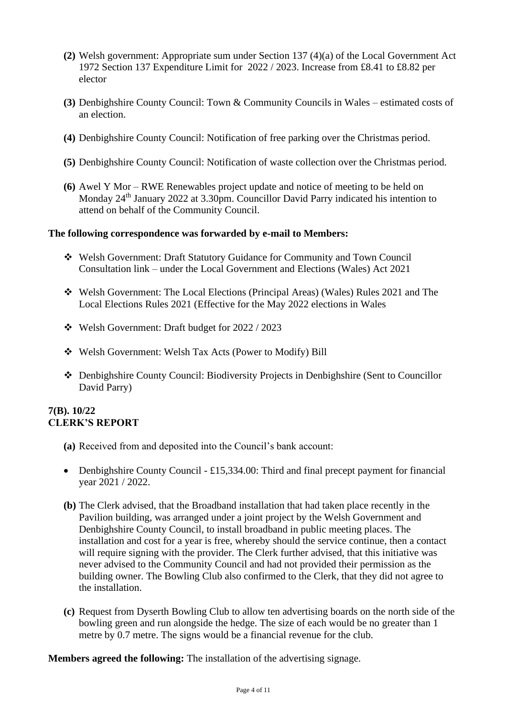- **(2)** Welsh government: Appropriate sum under Section 137 (4)(a) of the Local Government Act 1972 Section 137 Expenditure Limit for 2022 / 2023. Increase from £8.41 to £8.82 per elector
- **(3)** Denbighshire County Council: Town & Community Councils in Wales estimated costs of an election.
- **(4)** Denbighshire County Council: Notification of free parking over the Christmas period.
- **(5)** Denbighshire County Council: Notification of waste collection over the Christmas period.
- **(6)** Awel Y Mor RWE Renewables project update and notice of meeting to be held on Monday 24<sup>th</sup> January 2022 at 3.30pm. Councillor David Parry indicated his intention to attend on behalf of the Community Council.

#### **The following correspondence was forwarded by e-mail to Members:**

- ❖ Welsh Government: Draft Statutory Guidance for Community and Town Council Consultation link – under the Local Government and Elections (Wales) Act 2021
- ❖ Welsh Government: The Local Elections (Principal Areas) (Wales) Rules 2021 and The Local Elections Rules 2021 (Effective for the May 2022 elections in Wales
- ❖ Welsh Government: Draft budget for 2022 / 2023
- ❖ Welsh Government: Welsh Tax Acts (Power to Modify) Bill
- ❖ Denbighshire County Council: Biodiversity Projects in Denbighshire (Sent to Councillor David Parry)

#### **7(B). 10/22 CLERK'S REPORT**

- **(a)** Received from and deposited into the Council's bank account:
- Denbighshire County Council £15,334.00: Third and final precept payment for financial year 2021 / 2022.
- **(b)** The Clerk advised, that the Broadband installation that had taken place recently in the Pavilion building, was arranged under a joint project by the Welsh Government and Denbighshire County Council, to install broadband in public meeting places. The installation and cost for a year is free, whereby should the service continue, then a contact will require signing with the provider. The Clerk further advised, that this initiative was never advised to the Community Council and had not provided their permission as the building owner. The Bowling Club also confirmed to the Clerk, that they did not agree to the installation.
- **(c)** Request from Dyserth Bowling Club to allow ten advertising boards on the north side of the bowling green and run alongside the hedge. The size of each would be no greater than 1 metre by 0.7 metre. The signs would be a financial revenue for the club.

**Members agreed the following:** The installation of the advertising signage.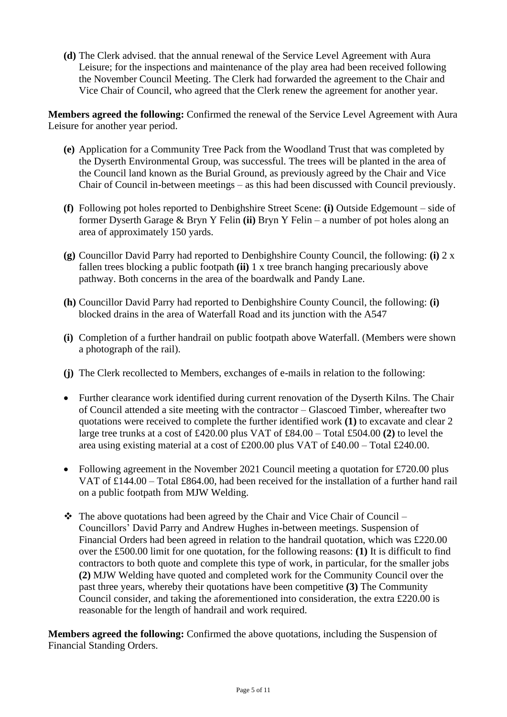**(d)** The Clerk advised. that the annual renewal of the Service Level Agreement with Aura Leisure; for the inspections and maintenance of the play area had been received following the November Council Meeting. The Clerk had forwarded the agreement to the Chair and Vice Chair of Council, who agreed that the Clerk renew the agreement for another year.

**Members agreed the following:** Confirmed the renewal of the Service Level Agreement with Aura Leisure for another year period.

- **(e)** Application for a Community Tree Pack from the Woodland Trust that was completed by the Dyserth Environmental Group, was successful. The trees will be planted in the area of the Council land known as the Burial Ground, as previously agreed by the Chair and Vice Chair of Council in-between meetings – as this had been discussed with Council previously.
- **(f)** Following pot holes reported to Denbighshire Street Scene: **(i)** Outside Edgemount side of former Dyserth Garage & Bryn Y Felin **(ii)** Bryn Y Felin – a number of pot holes along an area of approximately 150 yards.
- **(g)** Councillor David Parry had reported to Denbighshire County Council, the following: **(i)** 2 x fallen trees blocking a public footpath **(ii)** 1 x tree branch hanging precariously above pathway. Both concerns in the area of the boardwalk and Pandy Lane.
- **(h)** Councillor David Parry had reported to Denbighshire County Council, the following: **(i)** blocked drains in the area of Waterfall Road and its junction with the A547
- **(i)** Completion of a further handrail on public footpath above Waterfall. (Members were shown a photograph of the rail).
- **(j)** The Clerk recollected to Members, exchanges of e-mails in relation to the following:
- Further clearance work identified during current renovation of the Dyserth Kilns. The Chair of Council attended a site meeting with the contractor – Glascoed Timber, whereafter two quotations were received to complete the further identified work **(1)** to excavate and clear 2 large tree trunks at a cost of £420.00 plus VAT of £84.00 – Total £504.00 **(2)** to level the area using existing material at a cost of £200.00 plus VAT of £40.00 – Total £240.00.
- Following agreement in the November 2021 Council meeting a quotation for £720.00 plus VAT of £144.00 – Total £864.00, had been received for the installation of a further hand rail on a public footpath from MJW Welding.
- $\cdot \cdot$  The above quotations had been agreed by the Chair and Vice Chair of Council Councillors' David Parry and Andrew Hughes in-between meetings. Suspension of Financial Orders had been agreed in relation to the handrail quotation, which was £220.00 over the £500.00 limit for one quotation, for the following reasons: **(1)** It is difficult to find contractors to both quote and complete this type of work, in particular, for the smaller jobs **(2)** MJW Welding have quoted and completed work for the Community Council over the past three years, whereby their quotations have been competitive **(3)** The Community Council consider, and taking the aforementioned into consideration, the extra £220.00 is reasonable for the length of handrail and work required.

**Members agreed the following:** Confirmed the above quotations, including the Suspension of Financial Standing Orders.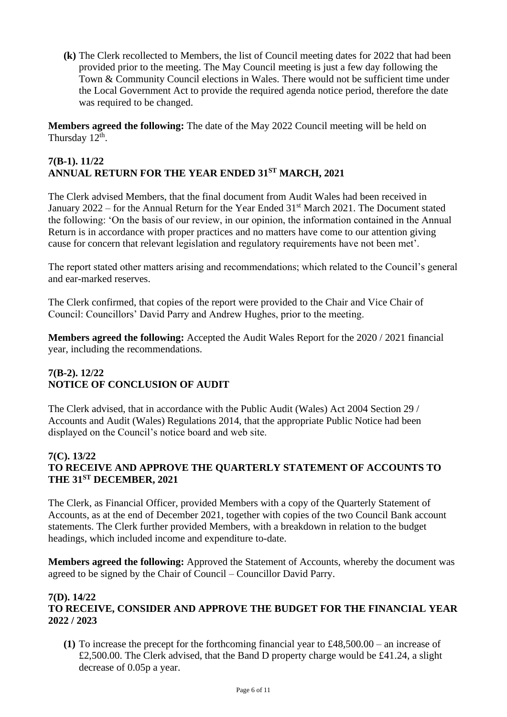**(k)** The Clerk recollected to Members, the list of Council meeting dates for 2022 that had been provided prior to the meeting. The May Council meeting is just a few day following the Town & Community Council elections in Wales. There would not be sufficient time under the Local Government Act to provide the required agenda notice period, therefore the date was required to be changed.

**Members agreed the following:** The date of the May 2022 Council meeting will be held on Thursday 12<sup>th</sup>.

## **7(B-1). 11/22 ANNUAL RETURN FOR THE YEAR ENDED 31ST MARCH, 2021**

The Clerk advised Members, that the final document from Audit Wales had been received in January 2022 – for the Annual Return for the Year Ended  $31<sup>st</sup>$  March 2021. The Document stated the following: 'On the basis of our review, in our opinion, the information contained in the Annual Return is in accordance with proper practices and no matters have come to our attention giving cause for concern that relevant legislation and regulatory requirements have not been met'.

The report stated other matters arising and recommendations; which related to the Council's general and ear-marked reserves.

The Clerk confirmed, that copies of the report were provided to the Chair and Vice Chair of Council: Councillors' David Parry and Andrew Hughes, prior to the meeting.

**Members agreed the following:** Accepted the Audit Wales Report for the 2020 / 2021 financial year, including the recommendations.

## **7(B-2). 12/22 NOTICE OF CONCLUSION OF AUDIT**

The Clerk advised, that in accordance with the Public Audit (Wales) Act 2004 Section 29 / Accounts and Audit (Wales) Regulations 2014, that the appropriate Public Notice had been displayed on the Council's notice board and web site.

#### **7(C). 13/22 TO RECEIVE AND APPROVE THE QUARTERLY STATEMENT OF ACCOUNTS TO THE 31ST DECEMBER, 2021**

The Clerk, as Financial Officer, provided Members with a copy of the Quarterly Statement of Accounts, as at the end of December 2021, together with copies of the two Council Bank account statements. The Clerk further provided Members, with a breakdown in relation to the budget headings, which included income and expenditure to-date.

**Members agreed the following:** Approved the Statement of Accounts, whereby the document was agreed to be signed by the Chair of Council – Councillor David Parry.

#### **7(D). 14/22 TO RECEIVE, CONSIDER AND APPROVE THE BUDGET FOR THE FINANCIAL YEAR 2022 / 2023**

**(1)** To increase the precept for the forthcoming financial year to £48,500.00 – an increase of £2,500.00. The Clerk advised, that the Band D property charge would be £41.24, a slight decrease of 0.05p a year.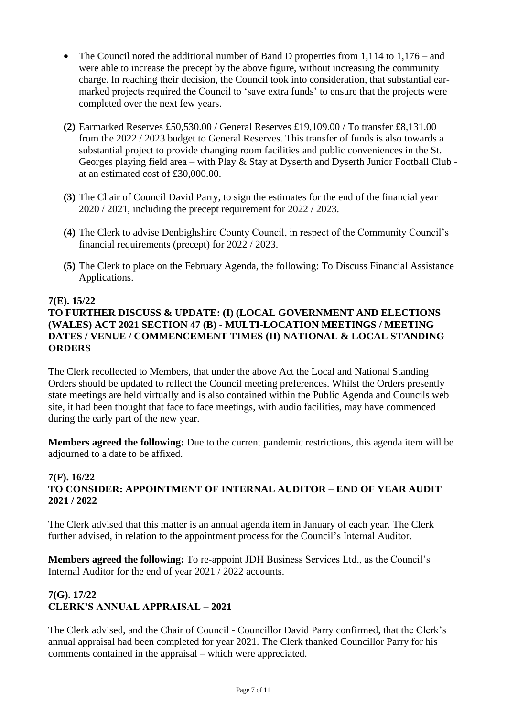- The Council noted the additional number of Band D properties from 1,114 to 1,176 and were able to increase the precept by the above figure, without increasing the community charge. In reaching their decision, the Council took into consideration, that substantial earmarked projects required the Council to 'save extra funds' to ensure that the projects were completed over the next few years.
- **(2)** Earmarked Reserves £50,530.00 / General Reserves £19,109.00 / To transfer £8,131.00 from the 2022 / 2023 budget to General Reserves. This transfer of funds is also towards a substantial project to provide changing room facilities and public conveniences in the St. Georges playing field area – with Play & Stay at Dyserth and Dyserth Junior Football Club at an estimated cost of £30,000.00.
- **(3)** The Chair of Council David Parry, to sign the estimates for the end of the financial year 2020 / 2021, including the precept requirement for 2022 / 2023.
- **(4)** The Clerk to advise Denbighshire County Council, in respect of the Community Council's financial requirements (precept) for 2022 / 2023.
- **(5)** The Clerk to place on the February Agenda, the following: To Discuss Financial Assistance Applications.

#### **7(E). 15/22**

## **TO FURTHER DISCUSS & UPDATE: (I) (LOCAL GOVERNMENT AND ELECTIONS (WALES) ACT 2021 SECTION 47 (B) - MULTI-LOCATION MEETINGS / MEETING DATES / VENUE / COMMENCEMENT TIMES (II) NATIONAL & LOCAL STANDING ORDERS**

The Clerk recollected to Members, that under the above Act the Local and National Standing Orders should be updated to reflect the Council meeting preferences. Whilst the Orders presently state meetings are held virtually and is also contained within the Public Agenda and Councils web site, it had been thought that face to face meetings, with audio facilities, may have commenced during the early part of the new year.

**Members agreed the following:** Due to the current pandemic restrictions, this agenda item will be adjourned to a date to be affixed.

#### **7(F). 16/22 TO CONSIDER: APPOINTMENT OF INTERNAL AUDITOR – END OF YEAR AUDIT 2021 / 2022**

The Clerk advised that this matter is an annual agenda item in January of each year. The Clerk further advised, in relation to the appointment process for the Council's Internal Auditor.

**Members agreed the following:** To re-appoint JDH Business Services Ltd., as the Council's Internal Auditor for the end of year 2021 / 2022 accounts.

#### **7(G). 17/22 CLERK'S ANNUAL APPRAISAL – 2021**

The Clerk advised, and the Chair of Council - Councillor David Parry confirmed, that the Clerk's annual appraisal had been completed for year 2021. The Clerk thanked Councillor Parry for his comments contained in the appraisal – which were appreciated.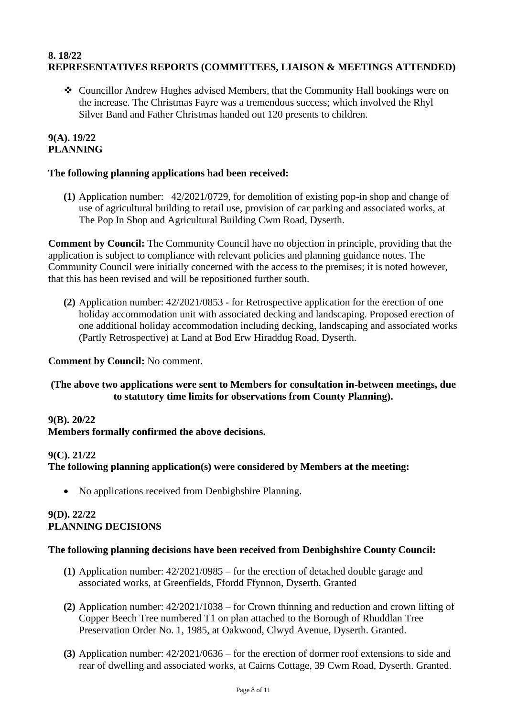## **8. 18/22 REPRESENTATIVES REPORTS (COMMITTEES, LIAISON & MEETINGS ATTENDED)**

❖ Councillor Andrew Hughes advised Members, that the Community Hall bookings were on the increase. The Christmas Fayre was a tremendous success; which involved the Rhyl Silver Band and Father Christmas handed out 120 presents to children.

#### **9(A). 19/22 PLANNING**

## **The following planning applications had been received:**

**(1)** Application number: 42/2021/0729, for demolition of existing pop-in shop and change of use of agricultural building to retail use, provision of car parking and associated works, at The Pop In Shop and Agricultural Building Cwm Road, Dyserth.

**Comment by Council:** The Community Council have no objection in principle, providing that the application is subject to compliance with relevant policies and planning guidance notes. The Community Council were initially concerned with the access to the premises; it is noted however, that this has been revised and will be repositioned further south.

**(2)** Application number: 42/2021/0853 - for Retrospective application for the erection of one holiday accommodation unit with associated decking and landscaping. Proposed erection of one additional holiday accommodation including decking, landscaping and associated works (Partly Retrospective) at Land at Bod Erw Hiraddug Road, Dyserth.

#### **Comment by Council:** No comment.

#### **(The above two applications were sent to Members for consultation in-between meetings, due to statutory time limits for observations from County Planning).**

#### **9(B). 20/22**

**Members formally confirmed the above decisions.**

#### **9(C). 21/22**

#### **The following planning application(s) were considered by Members at the meeting:**

• No applications received from Denbighshire Planning.

## **9(D). 22/22 PLANNING DECISIONS**

#### **The following planning decisions have been received from Denbighshire County Council:**

- **(1)** Application number: 42/2021/0985 for the erection of detached double garage and associated works, at Greenfields, Ffordd Ffynnon, Dyserth. Granted
- **(2)** Application number: 42/2021/1038 for Crown thinning and reduction and crown lifting of Copper Beech Tree numbered T1 on plan attached to the Borough of Rhuddlan Tree Preservation Order No. 1, 1985, at Oakwood, Clwyd Avenue, Dyserth. Granted.
- **(3)** Application number: 42/2021/0636 for the erection of dormer roof extensions to side and rear of dwelling and associated works, at Cairns Cottage, 39 Cwm Road, Dyserth. Granted.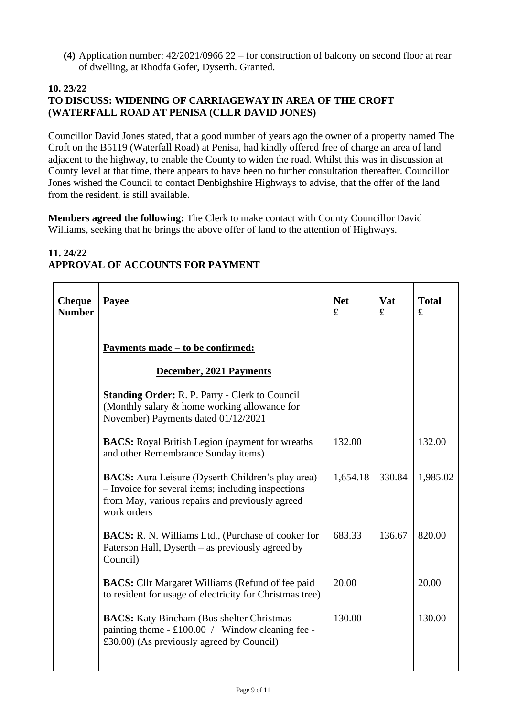**(4)** Application number: 42/2021/0966 22 – for construction of balcony on second floor at rear of dwelling, at Rhodfa Gofer, Dyserth. Granted.

#### **10. 23/22 TO DISCUSS: WIDENING OF CARRIAGEWAY IN AREA OF THE CROFT (WATERFALL ROAD AT PENISA (CLLR DAVID JONES)**

Councillor David Jones stated, that a good number of years ago the owner of a property named The Croft on the B5119 (Waterfall Road) at Penisa, had kindly offered free of charge an area of land adjacent to the highway, to enable the County to widen the road. Whilst this was in discussion at County level at that time, there appears to have been no further consultation thereafter. Councillor Jones wished the Council to contact Denbighshire Highways to advise, that the offer of the land from the resident, is still available.

**Members agreed the following:** The Clerk to make contact with County Councillor David Williams, seeking that he brings the above offer of land to the attention of Highways.

| 11.24/22                         |  |
|----------------------------------|--|
| APPROVAL OF ACCOUNTS FOR PAYMENT |  |

| <b>Cheque</b><br><b>Number</b> | Payee                                                                                                                                                                            | <b>Net</b><br>£ | Vat<br>£ | <b>Total</b><br>£ |
|--------------------------------|----------------------------------------------------------------------------------------------------------------------------------------------------------------------------------|-----------------|----------|-------------------|
|                                | <u>Payments made – to be confirmed:</u>                                                                                                                                          |                 |          |                   |
|                                | December, 2021 Payments                                                                                                                                                          |                 |          |                   |
|                                | <b>Standing Order: R. P. Parry - Clerk to Council</b><br>(Monthly salary & home working allowance for<br>November) Payments dated 01/12/2021                                     |                 |          |                   |
|                                | <b>BACS:</b> Royal British Legion (payment for wreaths)<br>and other Remembrance Sunday items)                                                                                   | 132.00          |          | 132.00            |
|                                | <b>BACS:</b> Aura Leisure (Dyserth Children's play area)<br>- Invoice for several items; including inspections<br>from May, various repairs and previously agreed<br>work orders | 1,654.18        | 330.84   | 1,985.02          |
|                                | <b>BACS:</b> R. N. Williams Ltd., (Purchase of cooker for<br>Paterson Hall, Dyserth – as previously agreed by<br>Council)                                                        | 683.33          | 136.67   | 820.00            |
|                                | <b>BACS:</b> Cllr Margaret Williams (Refund of fee paid<br>to resident for usage of electricity for Christmas tree)                                                              | 20.00           |          | 20.00             |
|                                | <b>BACS:</b> Katy Bincham (Bus shelter Christmas)<br>painting theme $- £100.00 /$ Window cleaning fee -<br>$\pounds30.00$ (As previously agreed by Council)                      | 130.00          |          | 130.00            |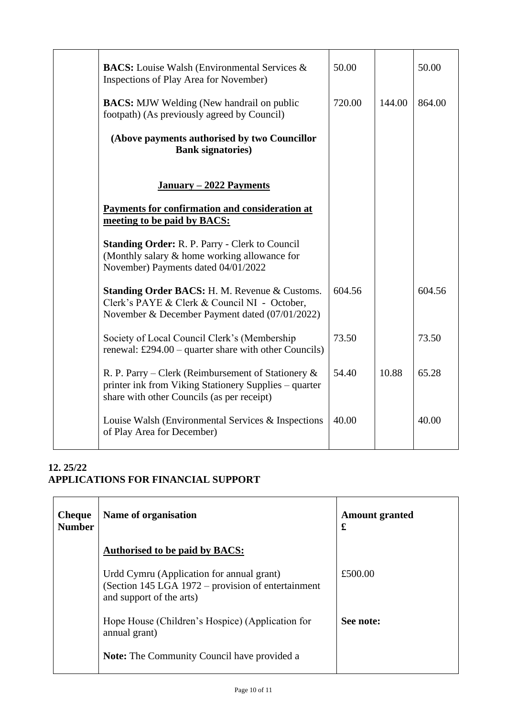| <b>BACS:</b> Louise Walsh (Environmental Services &<br>Inspections of Play Area for November)                                                                | 50.00  |        | 50.00  |
|--------------------------------------------------------------------------------------------------------------------------------------------------------------|--------|--------|--------|
| <b>BACS:</b> MJW Welding (New handrail on public<br>footpath) (As previously agreed by Council)                                                              | 720.00 | 144.00 | 864.00 |
| (Above payments authorised by two Councillor<br><b>Bank signatories</b> )                                                                                    |        |        |        |
| January - 2022 Payments                                                                                                                                      |        |        |        |
| Payments for confirmation and consideration at<br>meeting to be paid by BACS:                                                                                |        |        |        |
| <b>Standing Order: R. P. Parry - Clerk to Council</b><br>(Monthly salary & home working allowance for<br>November) Payments dated 04/01/2022                 |        |        |        |
| Standing Order BACS: H. M. Revenue & Customs.<br>Clerk's PAYE & Clerk & Council NI - October,<br>November & December Payment dated (07/01/2022)              | 604.56 |        | 604.56 |
| Society of Local Council Clerk's (Membership<br>renewal: £294.00 – quarter share with other Councils)                                                        | 73.50  |        | 73.50  |
| R. P. Parry – Clerk (Reimbursement of Stationery $\&$<br>printer ink from Viking Stationery Supplies – quarter<br>share with other Councils (as per receipt) | 54.40  | 10.88  | 65.28  |
| Louise Walsh (Environmental Services & Inspections<br>of Play Area for December)                                                                             | 40.00  |        | 40.00  |

## **12. 25/22 APPLICATIONS FOR FINANCIAL SUPPORT**

| <b>Cheque</b><br><b>Number</b> | Name of organisation                                                                                                        | <b>Amount granted</b><br>£ |
|--------------------------------|-----------------------------------------------------------------------------------------------------------------------------|----------------------------|
|                                | <b>Authorised to be paid by BACS:</b>                                                                                       |                            |
|                                | Urdd Cymru (Application for annual grant)<br>(Section 145 LGA 1972 – provision of entertainment<br>and support of the arts) | £500.00                    |
|                                | Hope House (Children's Hospice) (Application for<br>annual grant)                                                           | See note:                  |
|                                | <b>Note:</b> The Community Council have provided a                                                                          |                            |